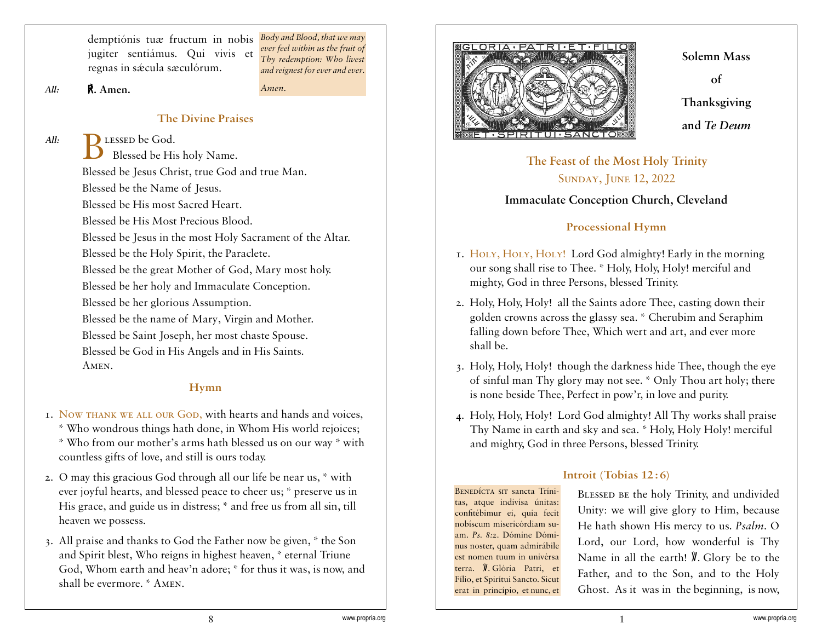demptiónis tuæ fructum in nobis *Body and Blood, that we may*  jugiter sentiámus. Qui vivis et regnas in sǽcula sæculórum.

*ever feel within us the fruit of Thy redemption: Who livest and reignest for ever and ever.* 

*All:* ℟**. Amen.** *Amen.*

**The Divine Praises**

**B** LESSED be God.<br>B Blessed be His Blessed be His holy Name. Blessed be Jesus Christ, true God and true Man. Blessed be the Name of Jesus. *All:* 

Blessed be His most Sacred Heart.

Blessed be His Most Precious Blood.

Blessed be Jesus in the most Holy Sacrament of the Altar.

Blessed be the Holy Spirit, the Paraclete.

Blessed be the great Mother of God, Mary most holy.

Blessed be her holy and Immaculate Conception.

Blessed be her glorious Assumption.

Blessed be the name of Mary, Virgin and Mother.

Blessed be Saint Joseph, her most chaste Spouse.

Blessed be God in His Angels and in His Saints. AMEN.

#### **Hymn**

- 1. Now thank we all our God, with hearts and hands and voices, \* Who wondrous things hath done, in Whom His world rejoices; \* Who from our mother's arms hath blessed us on our way \* with countless gifts of love, and still is ours today.
- 2. O may this gracious God through all our life be near us, \* with ever joyful hearts, and blessed peace to cheer us; \* preserve us in His grace, and guide us in distress; \* and free us from all sin, till heaven we possess.
- 3. All praise and thanks to God the Father now be given, \* the Son and Spirit blest, Who reigns in highest heaven, \* eternal Triune God, Whom earth and heav'n adore; \* for thus it was, is now, and shall be evermore. \* Amen.



**Solemn Mass of Thanksgiving and** *Te Deum*

## **The Feast of the Most Holy Trinity**  Sunday, June 12, 2022

### **Immaculate Conception Church, Cleveland**

### **Processional Hymn**

- 1. Holy, Holy, Holy! Lord God almighty! Early in the morning our song shall rise to Thee. \* Holy, Holy, Holy! merciful and mighty, God in three Persons, blessed Trinity.
- 2. Holy, Holy, Holy! all the Saints adore Thee, casting down their golden crowns across the glassy sea. \* Cherubim and Seraphim falling down before Thee, Which wert and art, and ever more shall be.
- 3. Holy, Holy, Holy! though the darkness hide Thee, though the eye of sinful man Thy glory may not see. \* Only Thou art holy; there is none beside Thee, Perfect in pow'r, in love and purity.
- 4. Holy, Holy, Holy! Lord God almighty! All Thy works shall praise Thy Name in earth and sky and sea. \* Holy, Holy Holy! merciful and mighty, God in three Persons, blessed Trinity.

#### **Introit (Tobias 12 : 6)**

BENEDÍCTA SIT sancta Trínitas, atque indivísa únitas: confitébimur ei, quia fecit nobíscum misericórdiam suam. *Ps. 8:2.* Dómine Dóminus noster, quam admirábile est nomen tuum in univérsa terra. ℣. Glória Patri, et Fílio, et Spirítui Sancto. Sicut erat in princípio, et nunc, et

BLESSED BE the holy Trinity, and undivided Unity: we will give glory to Him, because He hath shown His mercy to us. *Psalm.* O Lord, our Lord, how wonderful is Thy Name in all the earth! ℣. Glory be to the Father, and to the Son, and to the Holy Ghost. As it was in the beginning, is now,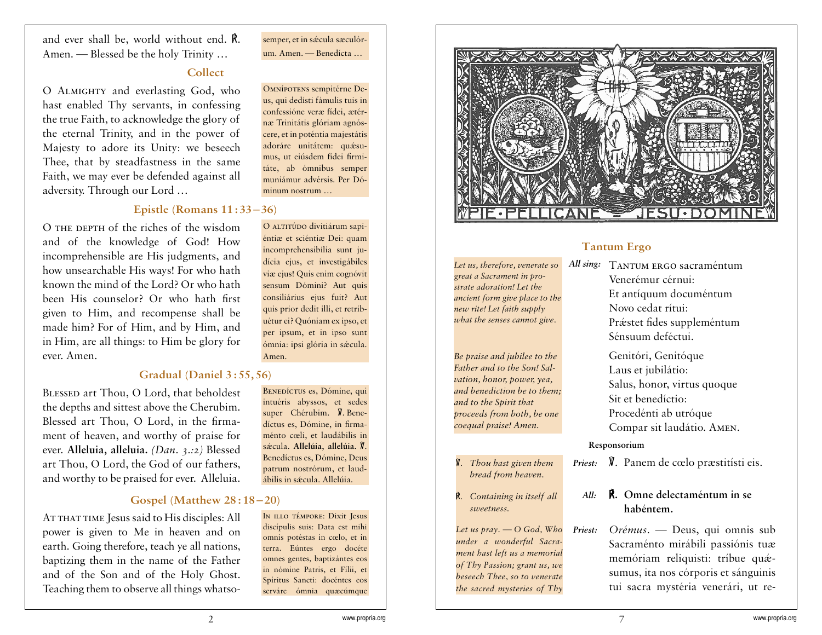and ever shall be, world without end. ℟. Amen. — Blessed be the holy Trinity ...

#### **Collect**

O Almighty and everlasting God, who hast enabled Thy servants, in confessing the true Faith, to acknowledge the glory of the eternal Trinity, and in the power of Majesty to adore its Unity: we beseech Thee, that by steadfastness in the same Faith, we may ever be defended against all adversity. Through our Lord …

#### **Epistle (Romans 11 : 33 – 36)**

O the depth of the riches of the wisdom and of the knowledge of God! How incomprehensible are His judgments, and how unsearchable His ways! For who hath known the mind of the Lord? Or who hath been His counselor? Or who hath first <sup>g</sup>iven to Him, and recompense shall be made him? For of Him, and by Him, and in Him, are all things: to Him be glory for ever. Amen.

#### **Gradual (Daniel 3 : 55, 56)**

BLESSED art Thou, O Lord, that beholdest the depths and sittest above the Cherubim. Blessed art Thou, O Lord, in the firmament of heaven, and worthy of praise for ever. **Alleluia, alleluia.** *(Dan. 3.:2)* Blessed art Thou, O Lord, the God of our fathers, and worthy to be praised for ever. Alleluia.

#### **Gospel (Matthew 28 : 18 – 20)**

AT THAT TIME Jesus said to His disciples: All power is given to Me in heaven and on earth. Going therefore, teach ye all nations, baptizing them in the name of the Father and of the Son and of the Holy Ghost. Teaching them to observe all things whatsosemper, et in sæcula sæculórum. Amen. — Benedícta …

Omnípotens sempitérne Deus, qui dedísti fámulis tuis in confessióne veræ fídei, ætérnæ Trinitátis glóriam agnóscere, et in poténtia majestátis adoráre unitátem: quæsumus, ut eiúsdem fídei firmitáte, ab ómnibus semper muniámur advérsis. Per Dóminum nostrum …

O ALTITÚDO divitiárum sapiéntiæ et sciéntiæ Dei: quam incomprehensibília sunt judícia ejus, et investigábiles viæ ejus! Quis enim cognóvit sensum Dómini? Aut quis consiliárius ejus fuit? Aut quis prior dedit illi, et retribuétur ei? Quóniam ex ipso, et per ipsum, et in ipso sunt ómnia: ipsi glória in sæcula. Amen.

Benedíctus es, Dómine, qui intuéris abyssos, et sedes super Chérubim. ℣. Benedíctus es, Dómine, in firmaménto cœli, et laudábilis in sǽcula. **Allelúia, allelúia.** ℣. Benedíctus es, Dómine, Deus patrum nostrórum, et laudábilis in sæcula. Allelúia.

# IN ILLO TÉMPORE: Dixit Jesus<br>discípulis suis: Data est mihi<br>omnis potéstas in cœlo, et in<br>terra. Eúntes ergo docéte<br>omnes gentes, baptizántes eos<br>in nómine Patris, et Fílii, et<br>Spíritus Sancti: docéntes eos<br>serváre ómnia q



#### **Tantum Ergo**

*Let us, therefore, venerate so great a Sacrament in prostrate adoration! Let the ancient form give place to the new rite! Let faith supply what the senses cannot give.*

*Be praise and jubilee to the Father and to the Son! Salvation, honor, power, yea, and benediction be to them; and to the Spirit that proceeds from both, be one coequal praise! Amen.*

- ℣. *Thou hast given them bread from heaven.*
- ℟. *Containing in itself all sweetness.*

*Let us pray. — O God, Who under a wonderful Sacrament hast left us a memorial of Thy Passion; grant us, we beseech Thee, so to venerate the sacred mysteries of Thy*

## All sing: TANTUM ERGO sacraméntum

Venerémur cérnui: Et antíquum documéntum Novo cedat rítui: Prǽstet fides suppleméntum Sénsuum deféctui.Genitóri, Genitóque Laus et jubilátio: Salus, honor, virtus quoque Sit et benedíctio:

Procedénti ab utróque Compar sit laudátio. Amen.

#### **Responsorium**

- *Priest:*  ℣. Panem de cœlo præstitísti eis.
	- *All:* ℟**. Omne delectaméntum in se habéntem.**
- *Priest: Orémus.* Deus, qui omnis sub Sacraménto mirábili passiónis tuæ memóriam reliquisti: tríbue quǽsumus, ita nos córporis et sánguinis tui sacra mystéria venerári, ut re-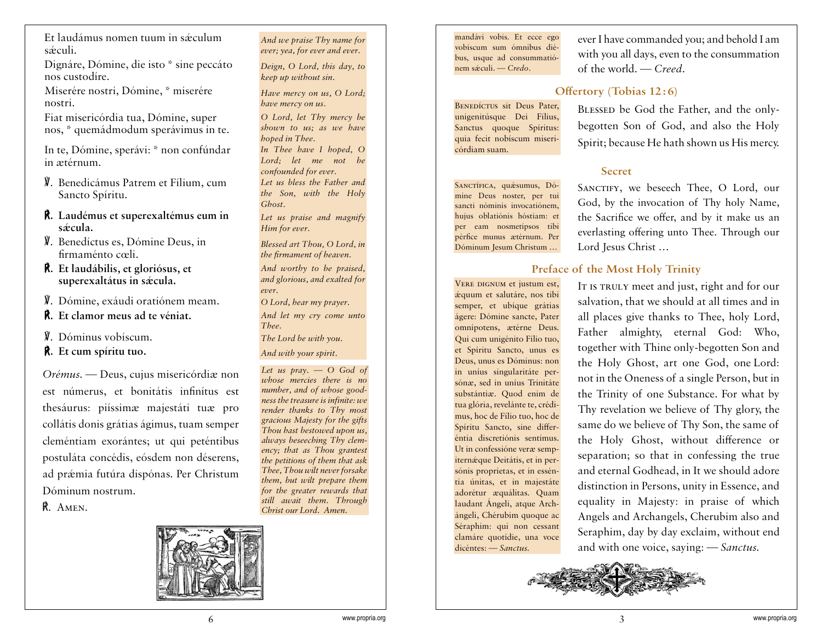Et laudámus nomen tuum in sǽculum s á culi.

Dignáre, Dómine, die isto \* sine peccáto nos custodíre.

Miserére nostri, Dómine, \* miserére nostri.

Fiat misericórdia tua, Dómine, super nos, \* quemádmodum sperávimus in te.

In te, Dómine, sperávi: \* non confúndar in ætérnum.

- ℣. Benedicámus Patrem et Fílium, cum Sancto Spíritu.
- ℟**. Laudémus et superexaltémus eum in sǽcula.**
- ℣. Benedíctus es, Dómine Deus, in firmaménto cœli.
- ℟**. Et laudábilis, et gloriósus, et superexaltátus in sǽcula.**
- ℣. Dómine, exáudi oratiónem meam. *O Lord, hear my prayer.*
- ℟**. Et clamor meus ad te véniat.** *And let my cry come unto*
- ℣. Dóminus vobíscum. *The Lord be with you.*
- ℟**. Et cum spíritu tuo.** *And with your spirit.*

*Orémus.* — Deus, cujus misericórdiæ non est númerus, et bonitátis infinítus est thesáurus: piíssimæ majestáti tuæ pro collátis donis grátias ágimus, tuam semper cleméntiam exorántes; ut qui peténtibus postuláta concédis, eósdem non déserens, ad prǽmia futúra dispónas. Per Christum Dóminum nostrum.

℟. Amen.



*And we praise Thy name for ever; yea, for ever and ever.*

*Deign, O Lord, this day, to keep up without sin.* 

*Have mercy on us, O Lord; have mercy on us.* 

*O Lord, let Thy mercy be shown to us; as we have hoped in Thee.* 

*In Thee have I hoped, O Lord; let me not be confounded for ever.* 

*Let us bless the Father and the Son, with the Holy Ghost.*

*Let us praise and magnify Him for ever.*

*Blessed art Thou, O Lord, in the firmament of heaven. And worthy to be praised, and glorious, and exalted for ever.*

*Thee.* 

*Let us pray. — O God of whose mercies there is no number, and of whose goodness the treasure is infinite: we render thanks to Thy most gracious Majesty for the gifts Thou hast bestowed upon us, always beseeching Thy clemency; that as Thou grantest the petitions of them that ask Thee, Thou wilt never forsake them, but wilt prepare them for the greater rewards that still await them. Through Christ our Lord. Amen.* 

mandávi vobis. Et ecce ego vobíscum sum ómnibus diébus, usque ad consummatiónem sǽculi. — *Credo.*

SANCTÍFICA, quésumus, Dómine Deus noster, per tui sancti nóminis invocatiónem, hujus oblatiónis hóstiam: et per eam nosmetípsos tibi <sup>p</sup>érfice munus ætérnum. Per Dóminum Jesum Christum …

córdiam suam.

ever I have commanded you; and behold I am with you all days, even to the consummation of the world. — *Creed*.

#### **Offertory (Tobias 12 : 6)**

BENEDÍCTUS sit Deus Pater, unigenitúsque Dei Fílius, Sanctus quoque Spíritus: quia fecit nobíscum miseri-BLESSED be God the Father, and the onlybegotten Son of God, and also the Holy Spirit; because He hath shown us His mercy.

#### **Secret**

SANCTIFY, we beseech Thee, O Lord, our God, by the invocation of Thy holy Name, the Sacrifice we offer, and by it make us an everlasting offering unto Thee. Through our Lord Jesus Christ …

#### **Preface of the Most Holy Trinity**

VERE DIGNUM et justum est, ǽquum et salutáre, nos tibi semper, et ubíque grátias ágere: Dómine sancte, Pater omnípotens, ætérne Deus. Qui cum unigénito Fílio tuo, et Spíritu Sancto, unus es Deus, unus es Dóminus: non in uníus singularitáte persónæ, sed in uníus Trinitáte substántiæ. Quod enim de tua glória, revelánte te, crédimus, hoc de Fílio tuo, hoc de Spíritu Sancto, sine differéntia discretiónis sentímus. Ut in confessióne veræ sempiternǽque Deitátis, et in persónis propríetas, et in esséntia únitas, et in majestáte adorétur æquálitas. Quam laudant Ángeli, atque Archángeli, Chérubim quoque ac Séraphim: qui non cessant clamáre quotídie, una voce dicéntes: — *Sanctus.*

It is truly meet and just, right and for our salvation, that we should at all times and in all places give thanks to Thee, holy Lord, Father almighty, eternal God: Who, together with Thine only-begotten Son and the Holy Ghost, art one God, one Lord: not in the Oneness of a single Person, but in the Trinity of one Substance. For what by Thy revelation we believe of Thy glory, the same do we believe of Thy Son, the same of the Holy Ghost, without difference or separation; so that in confessing the true and eternal Godhead, in It we should adore distinction in Persons, unity in Essence, and equality in Majesty: in praise of which Angels and Archangels, Cherubim also and Seraphim, day by day exclaim, without end and with one voice, saying: — *Sanctus.*



6 www.propria.org